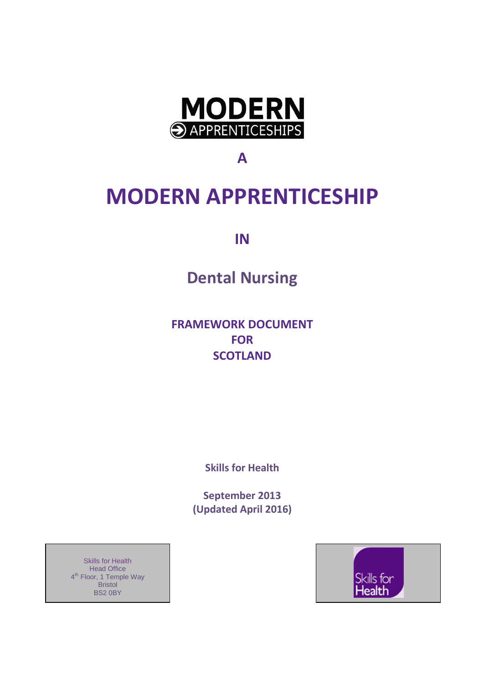

**A**

# **MODERN APPRENTICESHIP**

**IN**

**Dental Nursing**

**FRAMEWORK DOCUMENT FOR SCOTLAND**

**Skills for Health**

**September 2013 (Updated April 2016)**

Skills for Health **Head Office** 4<sup>th</sup> Floor, 1 Temple Way Bristol BS2 0BY

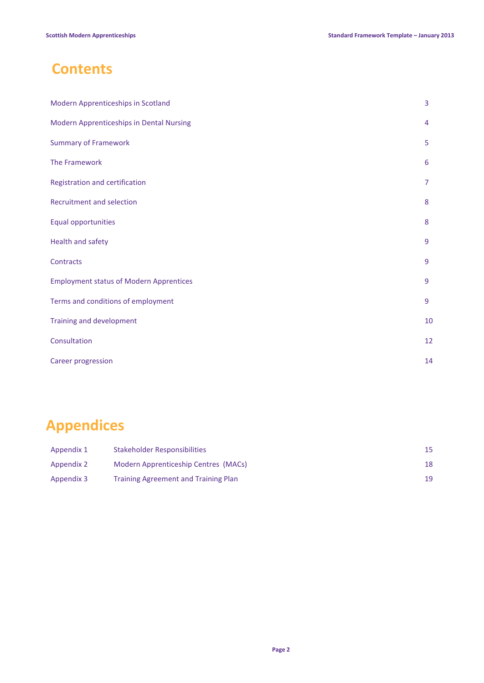# **Contents**

| <b>Modern Apprenticeships in Scotland</b>      | 3  |
|------------------------------------------------|----|
| Modern Apprenticeships in Dental Nursing       | 4  |
| <b>Summary of Framework</b>                    | 5  |
| The Framework                                  | 6  |
| Registration and certification                 | 7  |
| Recruitment and selection                      | 8  |
| <b>Equal opportunities</b>                     | 8  |
| Health and safety                              | 9  |
| Contracts                                      | 9  |
| <b>Employment status of Modern Apprentices</b> | 9  |
| Terms and conditions of employment             | 9  |
| Training and development                       | 10 |
| Consultation                                   | 12 |
| Career progression                             | 14 |

# **Appendices**

| Appendix 1 | Stakeholder Responsibilities                | 15 |
|------------|---------------------------------------------|----|
| Appendix 2 | Modern Apprenticeship Centres (MACs)        | 18 |
| Appendix 3 | <b>Training Agreement and Training Plan</b> | 19 |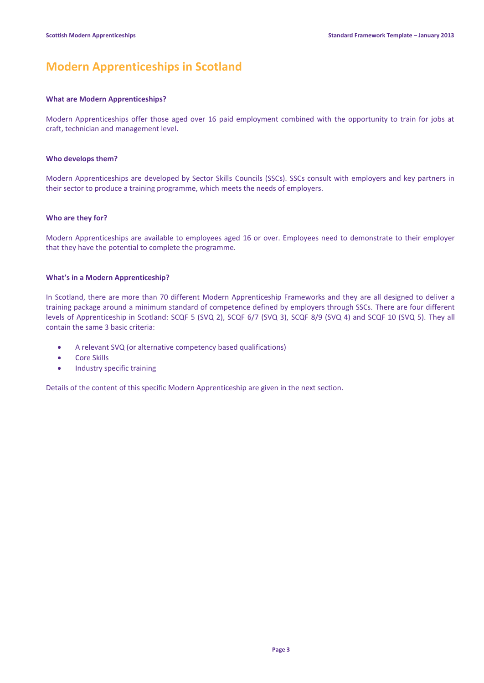# **Modern Apprenticeships in Scotland**

#### **What are Modern Apprenticeships?**

Modern Apprenticeships offer those aged over 16 paid employment combined with the opportunity to train for jobs at craft, technician and management level.

#### **Who develops them?**

Modern Apprenticeships are developed by Sector Skills Councils (SSCs). SSCs consult with employers and key partners in their sector to produce a training programme, which meets the needs of employers.

#### **Who are they for?**

Modern Apprenticeships are available to employees aged 16 or over. Employees need to demonstrate to their employer that they have the potential to complete the programme.

#### **What's in a Modern Apprenticeship?**

In Scotland, there are more than 70 different Modern Apprenticeship Frameworks and they are all designed to deliver a training package around a minimum standard of competence defined by employers through SSCs. There are four different levels of Apprenticeship in Scotland: SCQF 5 (SVQ 2), SCQF 6/7 (SVQ 3), SCQF 8/9 (SVQ 4) and SCQF 10 (SVQ 5). They all contain the same 3 basic criteria:

- A relevant SVQ (or alternative competency based qualifications)
- Core Skills
- Industry specific training

Details of the content of this specific Modern Apprenticeship are given in the next section.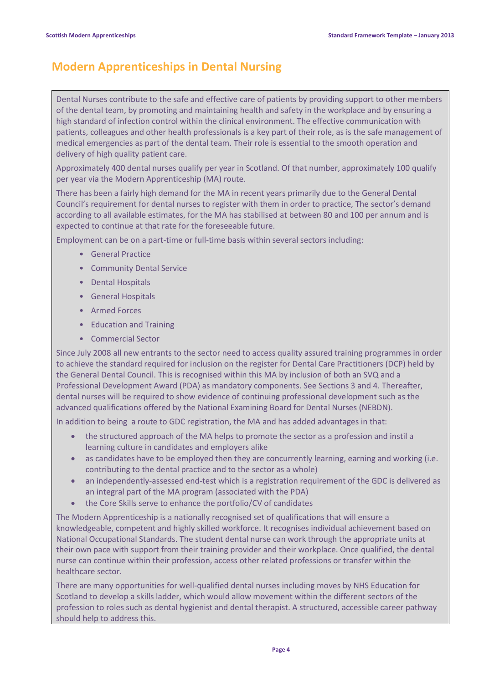# **Modern Apprenticeships in Dental Nursing**

Dental Nurses contribute to the safe and effective care of patients by providing support to other members of the dental team, by promoting and maintaining health and safety in the workplace and by ensuring a high standard of infection control within the clinical environment. The effective communication with patients, colleagues and other health professionals is a key part of their role, as is the safe management of medical emergencies as part of the dental team. Their role is essential to the smooth operation and delivery of high quality patient care.

Approximately 400 dental nurses qualify per year in Scotland. Of that number, approximately 100 qualify per year via the Modern Apprenticeship (MA) route.

There has been a fairly high demand for the MA in recent years primarily due to the General Dental Council's requirement for dental nurses to register with them in order to practice, The sector's demand according to all available estimates, for the MA has stabilised at between 80 and 100 per annum and is expected to continue at that rate for the foreseeable future.

Employment can be on a part-time or full-time basis within several sectors including:

- General Practice
- Community Dental Service
- Dental Hospitals
- General Hospitals
- Armed Forces
- Education and Training
- Commercial Sector

Since July 2008 all new entrants to the sector need to access quality assured training programmes in order to achieve the standard required for inclusion on the register for Dental Care Practitioners (DCP) held by the General Dental Council. This is recognised within this MA by inclusion of both an SVQ and a Professional Development Award (PDA) as mandatory components. See Sections 3 and 4. Thereafter, dental nurses will be required to show evidence of continuing professional development such as the advanced qualifications offered by the National Examining Board for Dental Nurses (NEBDN).

In addition to being a route to GDC registration, the MA and has added advantages in that:

- the structured approach of the MA helps to promote the sector as a profession and instil a learning culture in candidates and employers alike
- as candidates have to be employed then they are concurrently learning, earning and working (i.e. contributing to the dental practice and to the sector as a whole)
- an independently-assessed end-test which is a registration requirement of the GDC is delivered as an integral part of the MA program (associated with the PDA)
- the Core Skills serve to enhance the portfolio/CV of candidates

The Modern Apprenticeship is a nationally recognised set of qualifications that will ensure a knowledgeable, competent and highly skilled workforce. It recognises individual achievement based on National Occupational Standards. The student dental nurse can work through the appropriate units at their own pace with support from their training provider and their workplace. Once qualified, the dental nurse can continue within their profession, access other related professions or transfer within the healthcare sector.

There are many opportunities for well-qualified dental nurses including moves by NHS Education for Scotland to develop a skills ladder, which would allow movement within the different sectors of the profession to roles such as dental hygienist and dental therapist. A structured, accessible career pathway should help to address this.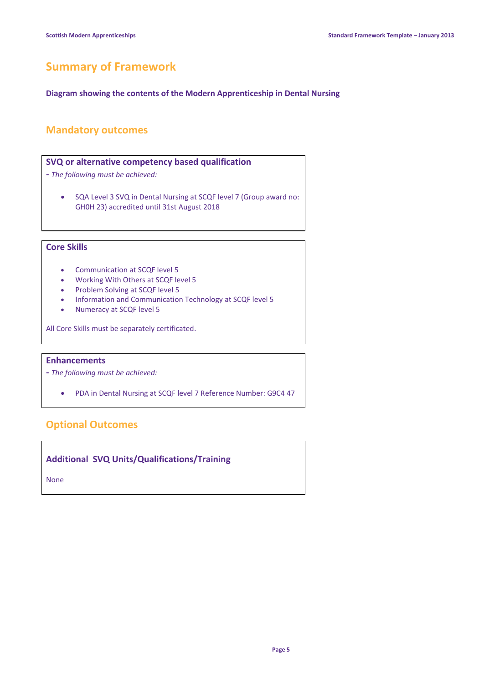# **Summary of Framework**

**Diagram showing the contents of the Modern Apprenticeship in Dental Nursing**

## **Mandatory outcomes**

### **SVQ or alternative competency based qualification**

- **-** *The following must be achieved:*
	- SQA Level 3 SVQ in Dental Nursing at SCQF level 7 (Group award no: GH0H 23) accredited until 31st August 2018

## **Core Skills**

- Communication at SCQF level 5
- Working With Others at SCQF level 5
- Problem Solving at SCQF level 5
- Information and Communication Technology at SCQF level 5
- Numeracy at SCQF level 5

All Core Skills must be separately certificated.

### **Enhancements**

- **-** *The following must be achieved:*
	- PDA in Dental Nursing at SCQF level 7 Reference Number: G9C4 47

### **Optional Outcomes**

**Additional SVQ Units/Qualifications/Training**

None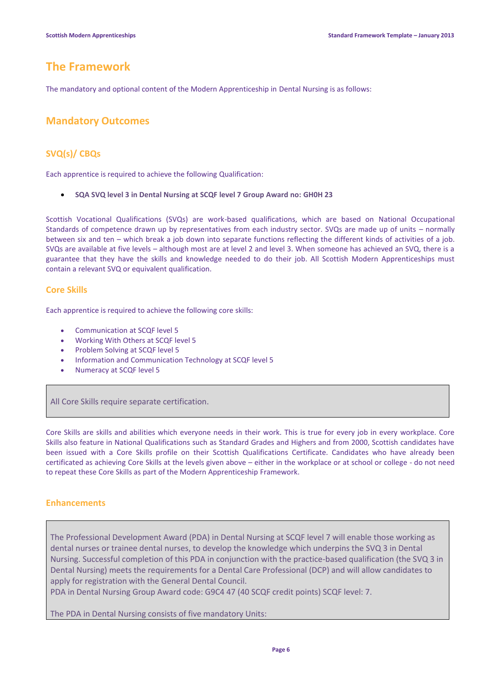# **The Framework**

The mandatory and optional content of the Modern Apprenticeship in Dental Nursing is as follows:

## **Mandatory Outcomes**

### **SVQ(s)/ CBQs**

Each apprentice is required to achieve the following Qualification:

**SQA SVQ level 3 in Dental Nursing at SCQF level 7 Group Award no: GH0H 23**

Scottish Vocational Qualifications (SVQs) are work-based qualifications, which are based on National Occupational Standards of competence drawn up by representatives from each industry sector. SVQs are made up of units – normally between six and ten – which break a job down into separate functions reflecting the different kinds of activities of a job. SVQs are available at five levels – although most are at level 2 and level 3. When someone has achieved an SVQ, there is a guarantee that they have the skills and knowledge needed to do their job. All Scottish Modern Apprenticeships must contain a relevant SVQ or equivalent qualification.

### **Core Skills**

Each apprentice is required to achieve the following core skills:

- Communication at SCQF level 5
- Working With Others at SCQF level 5
- Problem Solving at SCQF level 5
- Information and Communication Technology at SCQF level 5
- Numeracy at SCQF level 5

All Core Skills require separate certification.

Core Skills are skills and abilities which everyone needs in their work. This is true for every job in every workplace. Core Skills also feature in National Qualifications such as Standard Grades and Highers and from 2000, Scottish candidates have been issued with a Core Skills profile on their Scottish Qualifications Certificate. Candidates who have already been certificated as achieving Core Skills at the levels given above – either in the workplace or at school or college - do not need to repeat these Core Skills as part of the Modern Apprenticeship Framework.

#### **Enhancements**

The Professional Development Award (PDA) in Dental Nursing at SCQF level 7 will enable those working as dental nurses or trainee dental nurses, to develop the knowledge which underpins the SVQ 3 in Dental Nursing. Successful completion of this PDA in conjunction with the practice-based qualification (the SVQ 3 in Dental Nursing) meets the requirements for a Dental Care Professional (DCP) and will allow candidates to apply for registration with the General Dental Council.

PDA in Dental Nursing Group Award code: G9C4 47 (40 SCQF credit points) SCQF level: 7.

The PDA in Dental Nursing consists of five mandatory Units: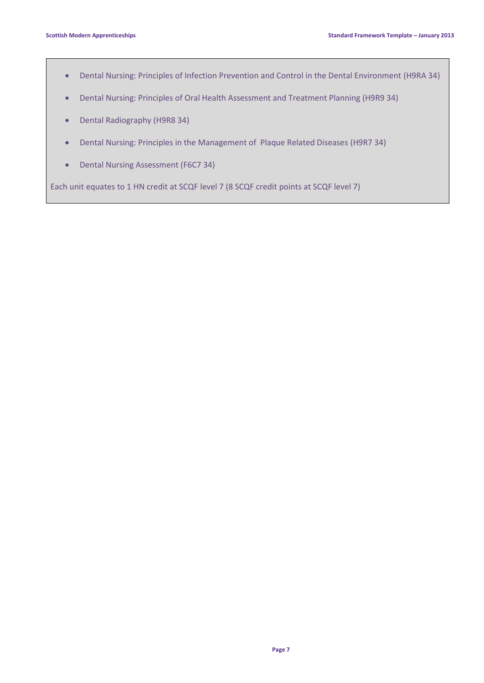- Dental Nursing: Principles of Infection Prevention and Control in the Dental Environment (H9RA 34)
- Dental Nursing: Principles of Oral Health Assessment and Treatment Planning (H9R9 34)
- Dental Radiography (H9R8 34)
- Dental Nursing: Principles in the Management of Plaque Related Diseases (H9R7 34)
- Dental Nursing Assessment (F6C7 34)

Each unit equates to 1 HN credit at SCQF level 7 (8 SCQF credit points at SCQF level 7)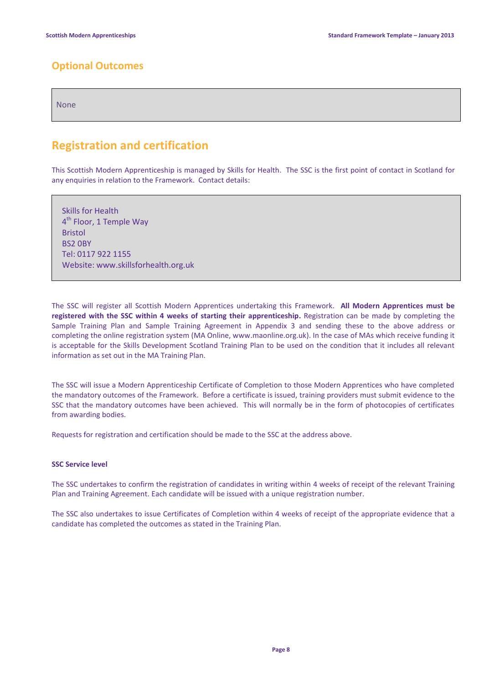# **Optional Outcomes**

None

# **Registration and certification**

This Scottish Modern Apprenticeship is managed by Skills for Health. The SSC is the first point of contact in Scotland for any enquiries in relation to the Framework. Contact details:

Skills for Health 4<sup>th</sup> Floor, 1 Temple Way Bristol BS2 0BY Tel: 0117 922 1155 Website: www.skillsforhealth.org.uk

The SSC will register all Scottish Modern Apprentices undertaking this Framework. **All Modern Apprentices must be registered with the SSC within 4 weeks of starting their apprenticeship.** Registration can be made by completing the Sample Training Plan and Sample Training Agreement in Appendix 3 and sending these to the above address or completing the online registration system (MA Online, www.maonline.org.uk). In the case of MAs which receive funding it is acceptable for the Skills Development Scotland Training Plan to be used on the condition that it includes all relevant information as set out in the MA Training Plan.

The SSC will issue a Modern Apprenticeship Certificate of Completion to those Modern Apprentices who have completed the mandatory outcomes of the Framework. Before a certificate is issued, training providers must submit evidence to the SSC that the mandatory outcomes have been achieved. This will normally be in the form of photocopies of certificates from awarding bodies.

Requests for registration and certification should be made to the SSC at the address above.

#### **SSC Service level**

The SSC undertakes to confirm the registration of candidates in writing within 4 weeks of receipt of the relevant Training Plan and Training Agreement. Each candidate will be issued with a unique registration number.

The SSC also undertakes to issue Certificates of Completion within 4 weeks of receipt of the appropriate evidence that a candidate has completed the outcomes as stated in the Training Plan.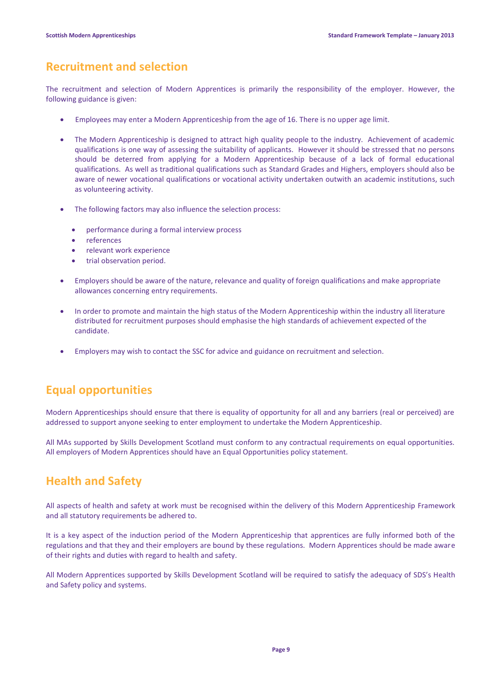# **Recruitment and selection**

The recruitment and selection of Modern Apprentices is primarily the responsibility of the employer. However, the following guidance is given:

- Employees may enter a Modern Apprenticeship from the age of 16. There is no upper age limit.
- The Modern Apprenticeship is designed to attract high quality people to the industry. Achievement of academic qualifications is one way of assessing the suitability of applicants. However it should be stressed that no persons should be deterred from applying for a Modern Apprenticeship because of a lack of formal educational qualifications. As well as traditional qualifications such as Standard Grades and Highers, employers should also be aware of newer vocational qualifications or vocational activity undertaken outwith an academic institutions, such as volunteering activity.
- The following factors may also influence the selection process:
	- performance during a formal interview process
	- references
	- relevant work experience
	- trial observation period.
- Employers should be aware of the nature, relevance and quality of foreign qualifications and make appropriate allowances concerning entry requirements.
- In order to promote and maintain the high status of the Modern Apprenticeship within the industry all literature distributed for recruitment purposes should emphasise the high standards of achievement expected of the candidate.
- Employers may wish to contact the SSC for advice and guidance on recruitment and selection.

# **Equal opportunities**

Modern Apprenticeships should ensure that there is equality of opportunity for all and any barriers (real or perceived) are addressed to support anyone seeking to enter employment to undertake the Modern Apprenticeship.

All MAs supported by Skills Development Scotland must conform to any contractual requirements on equal opportunities. All employers of Modern Apprentices should have an Equal Opportunities policy statement.

# **Health and Safety**

All aspects of health and safety at work must be recognised within the delivery of this Modern Apprenticeship Framework and all statutory requirements be adhered to.

It is a key aspect of the induction period of the Modern Apprenticeship that apprentices are fully informed both of the regulations and that they and their employers are bound by these regulations. Modern Apprentices should be made aware of their rights and duties with regard to health and safety.

All Modern Apprentices supported by Skills Development Scotland will be required to satisfy the adequacy of SDS's Health and Safety policy and systems.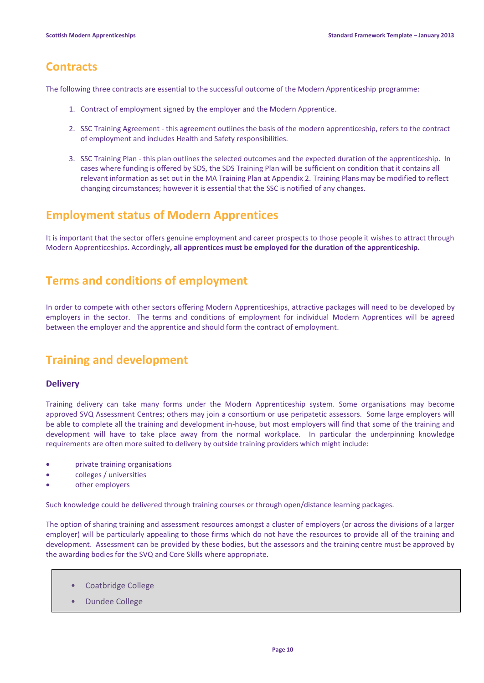# **Contracts**

The following three contracts are essential to the successful outcome of the Modern Apprenticeship programme:

- 1. Contract of employment signed by the employer and the Modern Apprentice.
- 2. SSC Training Agreement this agreement outlines the basis of the modern apprenticeship, refers to the contract of employment and includes Health and Safety responsibilities.
- 3. SSC Training Plan this plan outlines the selected outcomes and the expected duration of the apprenticeship. In cases where funding is offered by SDS, the SDS Training Plan will be sufficient on condition that it contains all relevant information as set out in the MA Training Plan at Appendix 2. Training Plans may be modified to reflect changing circumstances; however it is essential that the SSC is notified of any changes.

# **Employment status of Modern Apprentices**

It is important that the sector offers genuine employment and career prospects to those people it wishes to attract through Modern Apprenticeships. Accordingly**, all apprentices must be employed for the duration of the apprenticeship.**

# **Terms and conditions of employment**

In order to compete with other sectors offering Modern Apprenticeships, attractive packages will need to be developed by employers in the sector. The terms and conditions of employment for individual Modern Apprentices will be agreed between the employer and the apprentice and should form the contract of employment.

# **Training and development**

### **Delivery**

Training delivery can take many forms under the Modern Apprenticeship system. Some organisations may become approved SVQ Assessment Centres; others may join a consortium or use peripatetic assessors. Some large employers will be able to complete all the training and development in-house, but most employers will find that some of the training and development will have to take place away from the normal workplace. In particular the underpinning knowledge requirements are often more suited to delivery by outside training providers which might include:

- private training organisations
- colleges / universities
- other employers

Such knowledge could be delivered through training courses or through open/distance learning packages.

The option of sharing training and assessment resources amongst a cluster of employers (or across the divisions of a larger employer) will be particularly appealing to those firms which do not have the resources to provide all of the training and development. Assessment can be provided by these bodies, but the assessors and the training centre must be approved by the awarding bodies for the SVQ and Core Skills where appropriate.

- Coatbridge College
- Dundee College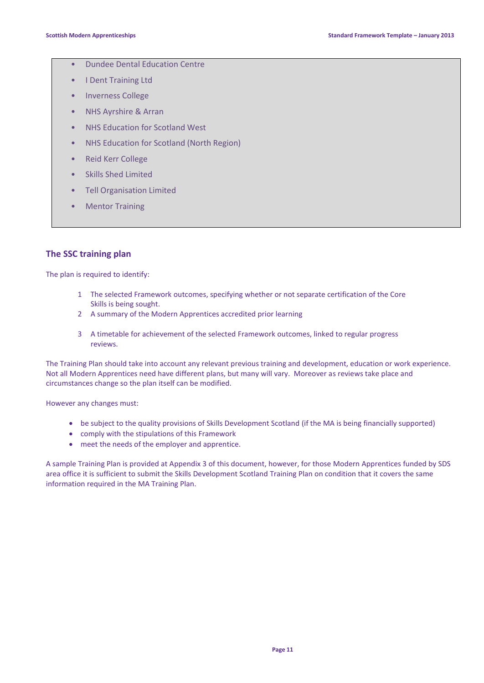- Dundee Dental Education Centre
- I Dent Training Ltd
- Inverness College
- NHS Ayrshire & Arran
- NHS Education for Scotland West
- NHS Education for Scotland (North Region)
- Reid Kerr College
- Skills Shed Limited
- Tell Organisation Limited
- Mentor Training

### **The SSC training plan**

The plan is required to identify:

- 1 The selected Framework outcomes, specifying whether or not separate certification of the Core Skills is being sought.
- 2 A summary of the Modern Apprentices accredited prior learning
- 3 A timetable for achievement of the selected Framework outcomes, linked to regular progress reviews.

The Training Plan should take into account any relevant previous training and development, education or work experience. Not all Modern Apprentices need have different plans, but many will vary. Moreover as reviews take place and circumstances change so the plan itself can be modified.

However any changes must:

- be subject to the quality provisions of Skills Development Scotland (if the MA is being financially supported)
- comply with the stipulations of this Framework
- meet the needs of the employer and apprentice.

A sample Training Plan is provided at Appendix 3 of this document, however, for those Modern Apprentices funded by SDS area office it is sufficient to submit the Skills Development Scotland Training Plan on condition that it covers the same information required in the MA Training Plan.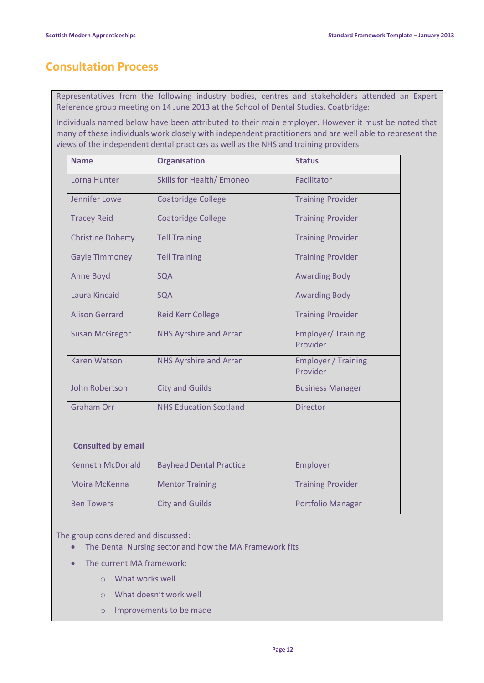# **Consultation Process**

Representatives from the following industry bodies, centres and stakeholders attended an Expert Reference group meeting on 14 June 2013 at the School of Dental Studies, Coatbridge:

Individuals named below have been attributed to their main employer. However it must be noted that many of these individuals work closely with independent practitioners and are well able to represent the views of the independent dental practices as well as the NHS and training providers.

| <b>Name</b>               | <b>Organisation</b>              | <b>Status</b>                          |
|---------------------------|----------------------------------|----------------------------------------|
| Lorna Hunter              | <b>Skills for Health/ Emoneo</b> | Facilitator                            |
| Jennifer Lowe             | <b>Coatbridge College</b>        | <b>Training Provider</b>               |
| <b>Tracey Reid</b>        | <b>Coatbridge College</b>        | <b>Training Provider</b>               |
| <b>Christine Doherty</b>  | <b>Tell Training</b>             | <b>Training Provider</b>               |
| <b>Gayle Timmoney</b>     | <b>Tell Training</b>             | <b>Training Provider</b>               |
| <b>Anne Boyd</b>          | <b>SQA</b>                       | <b>Awarding Body</b>                   |
| Laura Kincaid             | SQA                              | <b>Awarding Body</b>                   |
| <b>Alison Gerrard</b>     | <b>Reid Kerr College</b>         | <b>Training Provider</b>               |
| <b>Susan McGregor</b>     | <b>NHS Ayrshire and Arran</b>    | <b>Employer/Training</b><br>Provider   |
| <b>Karen Watson</b>       | <b>NHS Ayrshire and Arran</b>    | <b>Employer / Training</b><br>Provider |
| John Robertson            | <b>City and Guilds</b>           | <b>Business Manager</b>                |
| <b>Graham Orr</b>         | <b>NHS Education Scotland</b>    | <b>Director</b>                        |
|                           |                                  |                                        |
| <b>Consulted by email</b> |                                  |                                        |
| <b>Kenneth McDonald</b>   | <b>Bayhead Dental Practice</b>   | Employer                               |
| Moira McKenna             | <b>Mentor Training</b>           | <b>Training Provider</b>               |
| <b>Ben Towers</b>         | <b>City and Guilds</b>           | Portfolio Manager                      |

The group considered and discussed:

- The Dental Nursing sector and how the MA Framework fits
- The current MA framework:
	- o What works well
	- o What doesn't work well
	- o Improvements to be made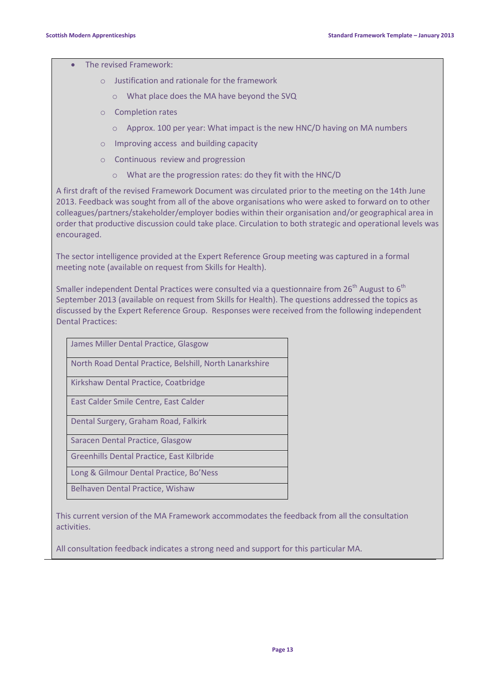The revised Framework:

- o Justification and rationale for the framework
	- o What place does the MA have beyond the SVQ
- o Completion rates
	- o Approx. 100 per year: What impact is the new HNC/D having on MA numbers
- o Improving access and building capacity
- o Continuous review and progression
	- o What are the progression rates: do they fit with the HNC/D

A first draft of the revised Framework Document was circulated prior to the meeting on the 14th June 2013. Feedback was sought from all of the above organisations who were asked to forward on to other colleagues/partners/stakeholder/employer bodies within their organisation and/or geographical area in order that productive discussion could take place. Circulation to both strategic and operational levels was encouraged.

The sector intelligence provided at the Expert Reference Group meeting was captured in a formal meeting note (available on request from Skills for Health).

Smaller independent Dental Practices were consulted via a questionnaire from 26<sup>th</sup> August to 6<sup>th</sup> September 2013 (available on request from Skills for Health). The questions addressed the topics as discussed by the Expert Reference Group. Responses were received from the following independent Dental Practices:

| James Miller Dental Practice, Glasgow                   |
|---------------------------------------------------------|
| North Road Dental Practice, Belshill, North Lanarkshire |
| Kirkshaw Dental Practice, Coatbridge                    |
| East Calder Smile Centre, East Calder                   |
| Dental Surgery, Graham Road, Falkirk                    |
| Saracen Dental Practice, Glasgow                        |
| Greenhills Dental Practice, East Kilbride               |
| Long & Gilmour Dental Practice, Bo'Ness                 |
| <b>Belhaven Dental Practice, Wishaw</b>                 |

This current version of the MA Framework accommodates the feedback from all the consultation activities.

All consultation feedback indicates a strong need and support for this particular MA.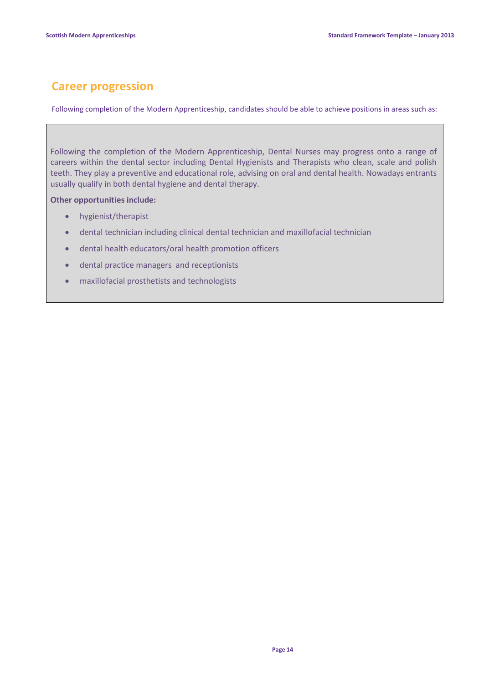# **Career progression**

Following completion of the Modern Apprenticeship, candidates should be able to achieve positions in areas such as:

Following the completion of the Modern Apprenticeship, Dental Nurses may progress onto a range of careers within the dental sector including Dental Hygienists and Therapists who clean, scale and polish teeth. They play a preventive and educational role, advising on oral and dental health. Nowadays entrants usually qualify in both dental hygiene and dental therapy.

**Other opportunities include:**

- hygienist/therapist
- dental technician including clinical dental technician and maxillofacial technician
- dental health educators/oral health promotion officers
- dental practice managers and receptionists
- maxillofacial prosthetists and technologists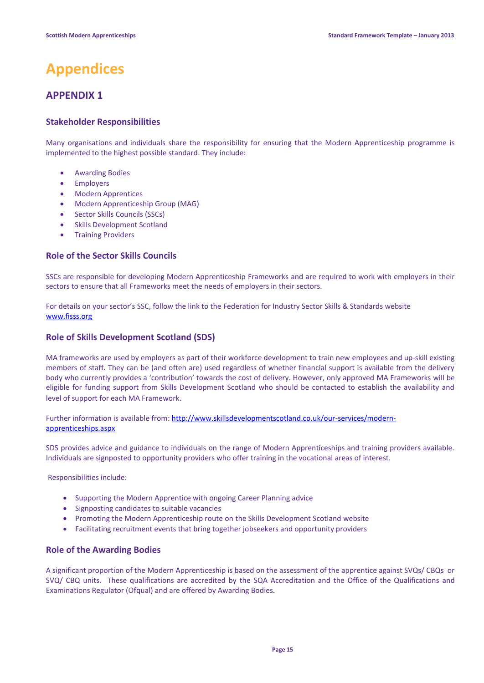# **Appendices**

# **APPENDIX 1**

### **Stakeholder Responsibilities**

Many organisations and individuals share the responsibility for ensuring that the Modern Apprenticeship programme is implemented to the highest possible standard. They include:

- Awarding Bodies
- **•** Employers
- Modern Apprentices
- Modern Apprenticeship Group (MAG)
- Sector Skills Councils (SSCs)
- Skills Development Scotland
- Training Providers

#### **Role of the Sector Skills Councils**

SSCs are responsible for developing Modern Apprenticeship Frameworks and are required to work with employers in their sectors to ensure that all Frameworks meet the needs of employers in their sectors.

For details on your sector's SSC, follow the link to the Federation for Industry Sector Skills & Standards website [www.fisss.org](http://www.fisss.org/)

#### **Role of Skills Development Scotland (SDS)**

MA frameworks are used by employers as part of their workforce development to train new employees and up-skill existing members of staff. They can be (and often are) used regardless of whether financial support is available from the delivery body who currently provides a 'contribution' towards the cost of delivery. However, only approved MA Frameworks will be eligible for funding support from Skills Development Scotland who should be contacted to establish the availability and level of support for each MA Framework.

Further information is available from[: http://www.skillsdevelopmentscotland.co.uk/our-services/modern](http://www.skillsdevelopmentscotland.co.uk/our-services/modern-apprenticeships.aspx)[apprenticeships.aspx](http://www.skillsdevelopmentscotland.co.uk/our-services/modern-apprenticeships.aspx)

SDS provides advice and guidance to individuals on the range of Modern Apprenticeships and training providers available. Individuals are signposted to opportunity providers who offer training in the vocational areas of interest.

Responsibilities include:

- Supporting the Modern Apprentice with ongoing Career Planning advice
- Signposting candidates to suitable vacancies
- Promoting the Modern Apprenticeship route on the Skills Development Scotland website
- Facilitating recruitment events that bring together jobseekers and opportunity providers

### **Role of the Awarding Bodies**

A significant proportion of the Modern Apprenticeship is based on the assessment of the apprentice against SVQs/ CBQs or SVQ/ CBQ units. These qualifications are accredited by the SQA Accreditation and the Office of the Qualifications and Examinations Regulator (Ofqual) and are offered by Awarding Bodies.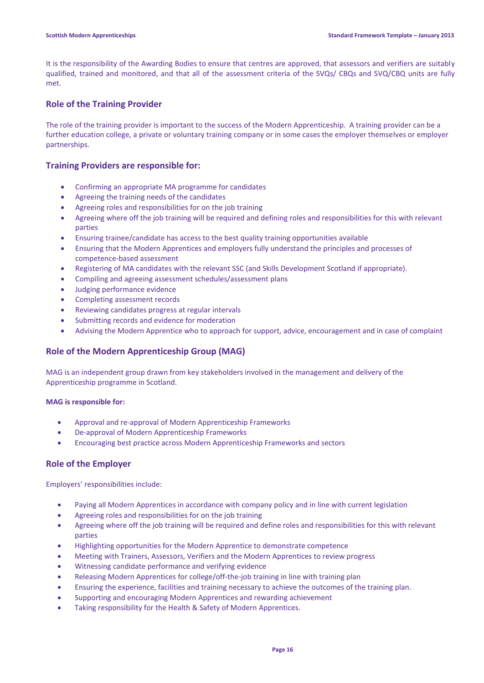It is the responsibility of the Awarding Bodies to ensure that centres are approved, that assessors and verifiers are suitably qualified, trained and monitored, and that all of the assessment criteria of the SVQs/ CBQs and SVQ/CBQ units are fully met.

### **Role of the Training Provider**

The role of the training provider is important to the success of the Modern Apprenticeship. A training provider can be a further education college, a private or voluntary training company or in some cases the employer themselves or employer partnerships.

### **Training Providers are responsible for:**

- Confirming an appropriate MA programme for candidates
- Agreeing the training needs of the candidates
- Agreeing roles and responsibilities for on the job training
- Agreeing where off the job training will be required and defining roles and responsibilities for this with relevant parties
- Ensuring trainee/candidate has access to the best quality training opportunities available
- Ensuring that the Modern Apprentices and employers fully understand the principles and processes of competence-based assessment
- Registering of MA candidates with the relevant SSC (and Skills Development Scotland if appropriate).
- Compiling and agreeing assessment schedules/assessment plans
- Judging performance evidence
- Completing assessment records
- Reviewing candidates progress at regular intervals
- Submitting records and evidence for moderation
- Advising the Modern Apprentice who to approach for support, advice, encouragement and in case of complaint

### **Role of the Modern Apprenticeship Group (MAG)**

MAG is an independent group drawn from key stakeholders involved in the management and delivery of the Apprenticeship programme in Scotland.

#### **MAG is responsible for:**

- Approval and re-approval of Modern Apprenticeship Frameworks
- De-approval of Modern Apprenticeship Frameworks
- Encouraging best practice across Modern Apprenticeship Frameworks and sectors

### **Role of the Employer**

Employers' responsibilities include:

- Paying all Modern Apprentices in accordance with company policy and in line with current legislation
- Agreeing roles and responsibilities for on the job training
- Agreeing where off the job training will be required and define roles and responsibilities for this with relevant parties
- Highlighting opportunities for the Modern Apprentice to demonstrate competence
- Meeting with Trainers, Assessors, Verifiers and the Modern Apprentices to review progress
- Witnessing candidate performance and verifying evidence
- Releasing Modern Apprentices for college/off-the-job training in line with training plan
- Ensuring the experience, facilities and training necessary to achieve the outcomes of the training plan.
- Supporting and encouraging Modern Apprentices and rewarding achievement
- Taking responsibility for the Health & Safety of Modern Apprentices.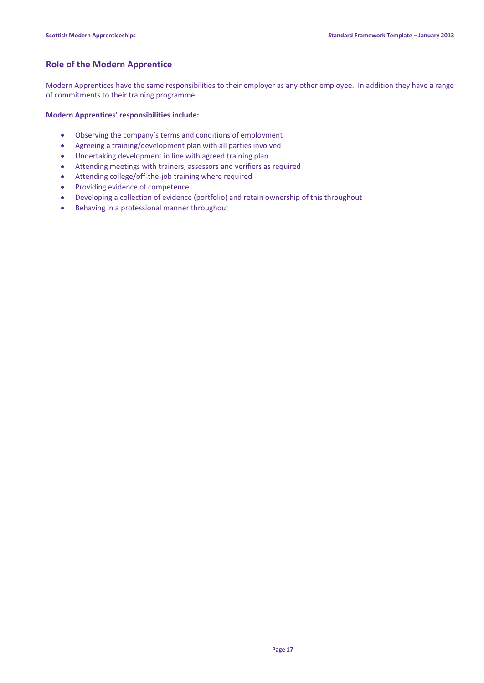### **Role of the Modern Apprentice**

Modern Apprentices have the same responsibilities to their employer as any other employee. In addition they have a range of commitments to their training programme.

#### **Modern Apprentices' responsibilities include:**

- Observing the company's terms and conditions of employment
- Agreeing a training/development plan with all parties involved
- Undertaking development in line with agreed training plan
- Attending meetings with trainers, assessors and verifiers as required
- Attending college/off-the-job training where required
- Providing evidence of competence
- Developing a collection of evidence (portfolio) and retain ownership of this throughout
- Behaving in a professional manner throughout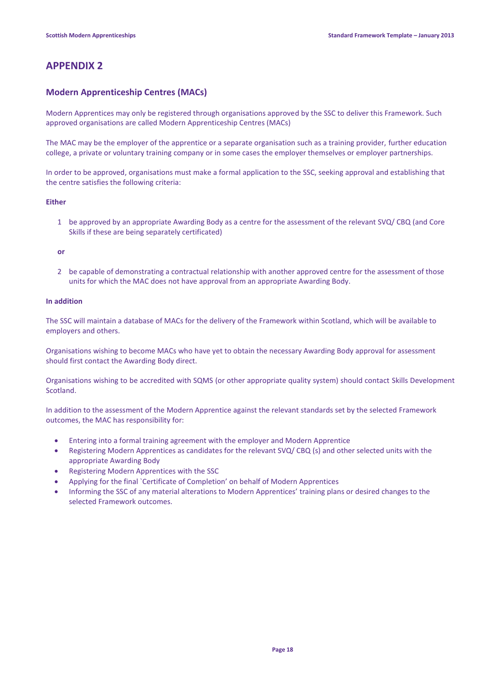## **APPENDIX 2**

### **Modern Apprenticeship Centres (MACs)**

Modern Apprentices may only be registered through organisations approved by the SSC to deliver this Framework. Such approved organisations are called Modern Apprenticeship Centres (MACs)

The MAC may be the employer of the apprentice or a separate organisation such as a training provider, further education college, a private or voluntary training company or in some cases the employer themselves or employer partnerships.

In order to be approved, organisations must make a formal application to the SSC, seeking approval and establishing that the centre satisfies the following criteria:

#### **Either**

1 be approved by an appropriate Awarding Body as a centre for the assessment of the relevant SVQ/ CBQ (and Core Skills if these are being separately certificated)

**or**

2 be capable of demonstrating a contractual relationship with another approved centre for the assessment of those units for which the MAC does not have approval from an appropriate Awarding Body.

#### **In addition**

The SSC will maintain a database of MACs for the delivery of the Framework within Scotland, which will be available to employers and others.

Organisations wishing to become MACs who have yet to obtain the necessary Awarding Body approval for assessment should first contact the Awarding Body direct.

Organisations wishing to be accredited with SQMS (or other appropriate quality system) should contact Skills Development Scotland.

In addition to the assessment of the Modern Apprentice against the relevant standards set by the selected Framework outcomes, the MAC has responsibility for:

- Entering into a formal training agreement with the employer and Modern Apprentice
- Registering Modern Apprentices as candidates for the relevant SVQ/ CBQ (s) and other selected units with the appropriate Awarding Body
- Registering Modern Apprentices with the SSC
- Applying for the final `Certificate of Completion' on behalf of Modern Apprentices
- Informing the SSC of any material alterations to Modern Apprentices' training plans or desired changes to the selected Framework outcomes.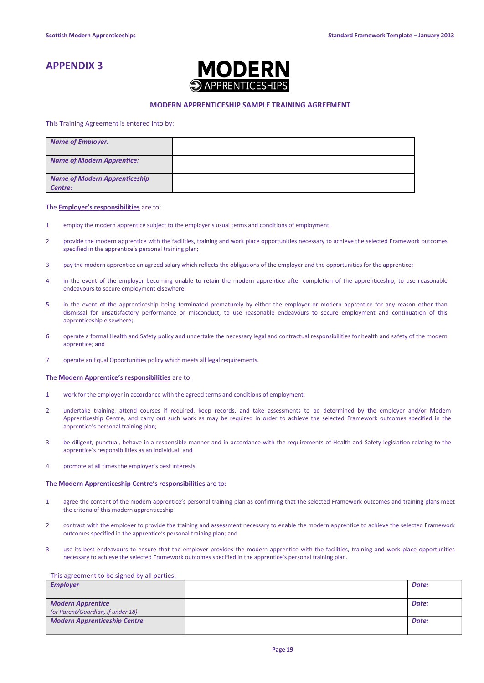# **APPENDIX 3**



#### **MODERN APPRENTICESHIP SAMPLE TRAINING AGREEMENT**

#### This Training Agreement is entered into by:

| <b>Name of Employer:</b>                        |  |
|-------------------------------------------------|--|
| <b>Name of Modern Apprentice:</b>               |  |
| <b>Name of Modern Apprenticeship</b><br>Centre: |  |

#### The **Employer's responsibilities** are to:

- 1 employ the modern apprentice subject to the employer's usual terms and conditions of employment;
- 2 provide the modern apprentice with the facilities, training and work place opportunities necessary to achieve the selected Framework outcomes specified in the apprentice's personal training plan;
- 3 pay the modern apprentice an agreed salary which reflects the obligations of the employer and the opportunities for the apprentice;
- 4 in the event of the employer becoming unable to retain the modern apprentice after completion of the apprenticeship, to use reasonable endeavours to secure employment elsewhere;
- 5 in the event of the apprenticeship being terminated prematurely by either the employer or modern apprentice for any reason other than dismissal for unsatisfactory performance or misconduct, to use reasonable endeavours to secure employment and continuation of this apprenticeship elsewhere;
- 6 operate a formal Health and Safety policy and undertake the necessary legal and contractual responsibilities for health and safety of the modern apprentice; and
- 7 operate an Equal Opportunities policy which meets all legal requirements.

#### The **Modern Apprentice's responsibilities** are to:

- 1 work for the employer in accordance with the agreed terms and conditions of employment;
- 2 undertake training, attend courses if required, keep records, and take assessments to be determined by the employer and/or Modern Apprenticeship Centre, and carry out such work as may be required in order to achieve the selected Framework outcomes specified in the apprentice's personal training plan;
- 3 be diligent, punctual, behave in a responsible manner and in accordance with the requirements of Health and Safety legislation relating to the apprentice's responsibilities as an individual; and
- 4 promote at all times the employer's best interests.

#### The **Modern Apprenticeship Centre's responsibilities** are to:

- 1 agree the content of the modern apprentice's personal training plan as confirming that the selected Framework outcomes and training plans meet the criteria of this modern apprenticeship
- 2 contract with the employer to provide the training and assessment necessary to enable the modern apprentice to achieve the selected Framework outcomes specified in the apprentice's personal training plan; and
- 3 use its best endeavours to ensure that the employer provides the modern apprentice with the facilities, training and work place opportunities necessary to achieve the selected Framework outcomes specified in the apprentice's personal training plan.

#### This agreement to be signed by all parties:

| <b>Employer</b>                     | Date: |
|-------------------------------------|-------|
|                                     |       |
| <b>Modern Apprentice</b>            | Date: |
| (or Parent/Guardian, if under 18)   |       |
| <b>Modern Apprenticeship Centre</b> | Date: |
|                                     |       |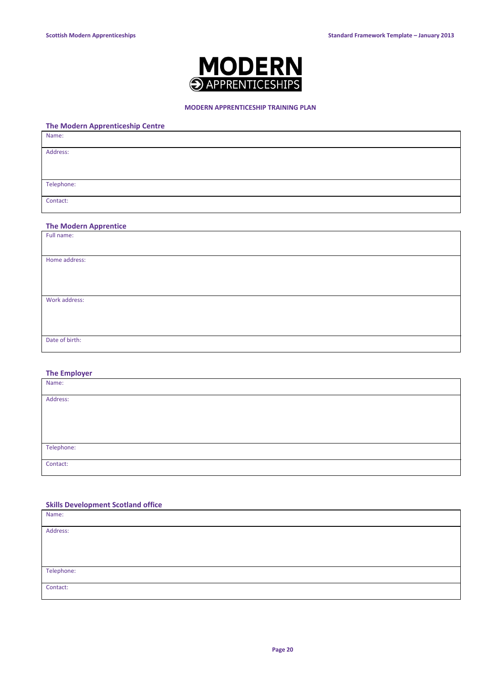

#### **MODERN APPRENTICESHIP TRAINING PLAN**

### **The Modern Apprenticeship Centre**

| Name:      |  |
|------------|--|
| Address:   |  |
|            |  |
| Telephone: |  |
|            |  |
| Contact:   |  |

### **The Modern Apprentice**

| Full name:     |  |
|----------------|--|
|                |  |
| Home address:  |  |
|                |  |
|                |  |
|                |  |
| Work address:  |  |
|                |  |
|                |  |
|                |  |
| Date of birth: |  |
|                |  |

#### **The Employer**

| Name:      |  |
|------------|--|
| Address:   |  |
|            |  |
|            |  |
|            |  |
| Telephone: |  |
| Contact:   |  |

#### **Skills Development Scotland office**

| Name:      |  |
|------------|--|
| Address:   |  |
|            |  |
|            |  |
| Telephone: |  |
| Contact:   |  |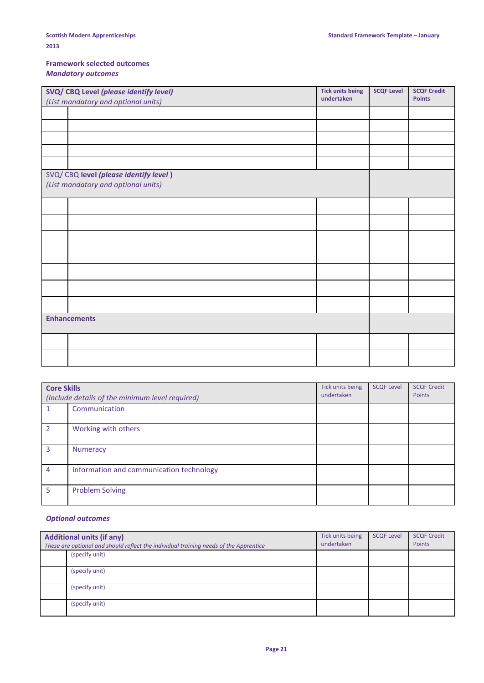### **Framework selected outcomes** *Mandatory outcomes*

| SVQ/ CBQ Level (please identify level) |                                        | <b>Tick units being</b> | <b>SCQF Level</b> | <b>SCQF Credit</b> |
|----------------------------------------|----------------------------------------|-------------------------|-------------------|--------------------|
| (List mandatory and optional units)    |                                        | undertaken              |                   | <b>Points</b>      |
|                                        |                                        |                         |                   |                    |
|                                        |                                        |                         |                   |                    |
|                                        |                                        |                         |                   |                    |
|                                        |                                        |                         |                   |                    |
|                                        |                                        |                         |                   |                    |
|                                        | SVQ/ CBQ level (please identify level) |                         |                   |                    |
|                                        | (List mandatory and optional units)    |                         |                   |                    |
|                                        |                                        |                         |                   |                    |
|                                        |                                        |                         |                   |                    |
|                                        |                                        |                         |                   |                    |
|                                        |                                        |                         |                   |                    |
|                                        |                                        |                         |                   |                    |
|                                        |                                        |                         |                   |                    |
|                                        |                                        |                         |                   |                    |
| <b>Enhancements</b>                    |                                        |                         |                   |                    |
|                                        |                                        |                         |                   |                    |
|                                        |                                        |                         |                   |                    |

| <b>Core Skills</b><br>(Include details of the minimum level required) |                                          | Tick units being<br>undertaken | <b>SCQF Level</b> | <b>SCQF Credit</b><br>Points |
|-----------------------------------------------------------------------|------------------------------------------|--------------------------------|-------------------|------------------------------|
|                                                                       | Communication                            |                                |                   |                              |
| $\mathcal{P}$                                                         | Working with others                      |                                |                   |                              |
| 3                                                                     | <b>Numeracy</b>                          |                                |                   |                              |
| 4                                                                     | Information and communication technology |                                |                   |                              |
| 5                                                                     | <b>Problem Solving</b>                   |                                |                   |                              |

### *Optional outcomes*

| <b>Additional units (if any)</b><br>These are optional and should reflect the individual training needs of the Apprentice |                | Tick units being<br>undertaken | <b>SCQF Level</b> | <b>SCQF Credit</b><br>Points |
|---------------------------------------------------------------------------------------------------------------------------|----------------|--------------------------------|-------------------|------------------------------|
|                                                                                                                           | (specify unit) |                                |                   |                              |
|                                                                                                                           | (specify unit) |                                |                   |                              |
|                                                                                                                           | (specify unit) |                                |                   |                              |
|                                                                                                                           | (specify unit) |                                |                   |                              |